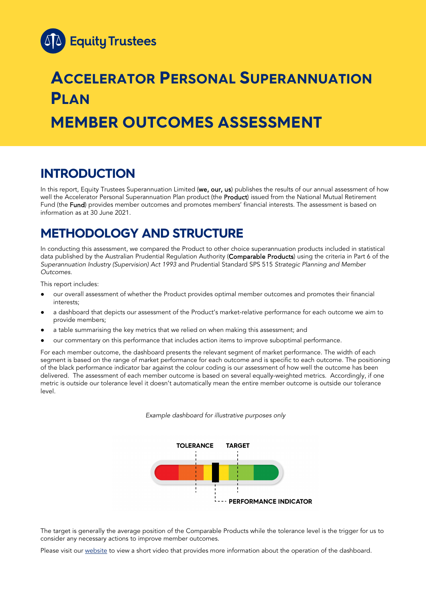

# **ACCELERATOR PERSONAL SUPERANNUATION PLAN MEMBER OUTCOMES ASSESSMENT**

## **INTRODUCTION**

In this report, Equity Trustees Superannuation Limited (we, our, us) publishes the results of our annual assessment of how well the Accelerator Personal Superannuation Plan product (the Product) issued from the National Mutual Retirement Fund (the Fund) provides member outcomes and promotes members' financial interests. The assessment is based on information as at 30 June 2021.

### **METHODOLOGY AND STRUCTURE**

In conducting this assessment, we compared the Product to other choice superannuation products included in statistical data published by the Australian Prudential Regulation Authority (Comparable Products) using the criteria in Part 6 of the *Superannuation Industry (Supervision) Act 1993* and Prudential Standard SPS 515 *Strategic Planning and Member Outcomes*.

This report includes:

- our overall assessment of whether the Product provides optimal member outcomes and promotes their financial interests;
- a dashboard that depicts our assessment of the Product's market-relative performance for each outcome we aim to provide members;
- a table summarising the key metrics that we relied on when making this assessment; and
- our commentary on this performance that includes action items to improve suboptimal performance.

For each member outcome, the dashboard presents the relevant segment of market performance. The width of each segment is based on the range of market performance for each outcome and is specific to each outcome. The positioning of the black performance indicator bar against the colour coding is our assessment of how well the outcome has been delivered. The assessment of each member outcome is based on several equally-weighted metrics. Accordingly, if one metric is outside our tolerance level it doesn't automatically mean the entire member outcome is outside our tolerance level.

*Example dashboard for illustrative purposes only*



The target is generally the average position of the Comparable Products while the tolerance level is the trigger for us to consider any necessary actions to improve member outcomes.

Please visit our [website](https://www.eqt.com.au/superannuation) to view a short video that provides more information about the operation of the dashboard.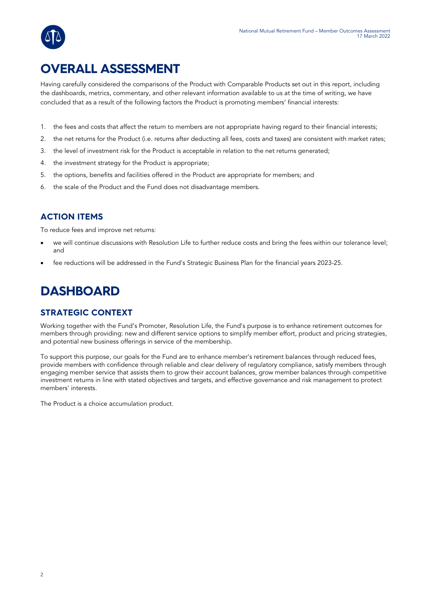

## **OVERALL ASSESSMENT**

Having carefully considered the comparisons of the Product with Comparable Products set out in this report, including the dashboards, metrics, commentary, and other relevant information available to us at the time of writing, we have concluded that as a result of the following factors the Product is promoting members' financial interests:

- 1. the fees and costs that affect the return to members are not appropriate having regard to their financial interests;
- 2. the net returns for the Product (i.e. returns after deducting all fees, costs and taxes) are consistent with market rates;
- 3. the level of investment risk for the Product is acceptable in relation to the net returns generated;
- 4. the investment strategy for the Product is appropriate;
- 5. the options, benefits and facilities offered in the Product are appropriate for members; and
- 6. the scale of the Product and the Fund does not disadvantage members.

### **ACTION ITEMS**

To reduce fees and improve net returns:

- we will continue discussions with Resolution Life to further reduce costs and bring the fees within our tolerance level; and
- fee reductions will be addressed in the Fund's Strategic Business Plan for the financial years 2023-25.

## **DASHBOARD**

### **STRATEGIC CONTEXT**

Working together with the Fund's Promoter, Resolution Life, the Fund's purpose is to enhance retirement outcomes for members through providing: new and different service options to simplify member effort, product and pricing strategies, and potential new business offerings in service of the membership.

To support this purpose, our goals for the Fund are to enhance member's retirement balances through reduced fees, provide members with confidence through reliable and clear delivery of regulatory compliance, satisfy members through engaging member service that assists them to grow their account balances, grow member balances through competitive investment returns in line with stated objectives and targets, and effective governance and risk management to protect members' interests.

The Product is a choice accumulation product.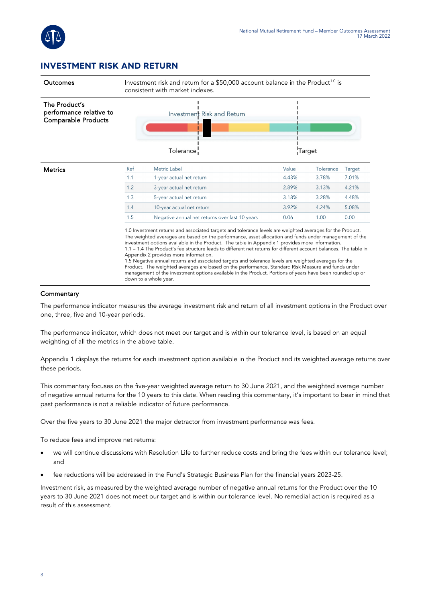

#### **INVESTMENT RISK AND RETURN**

| Outcomes                                                               | Investment risk and return for a \$50,000 account balance in the Product <sup>1.0</sup> is<br>consistent with market indexes. |                                                                                                                                                                                                                                                                                                                                                                                                                                                                                                                                                                                                                                                                                                                                                                                                                                          |       |           |        |  |
|------------------------------------------------------------------------|-------------------------------------------------------------------------------------------------------------------------------|------------------------------------------------------------------------------------------------------------------------------------------------------------------------------------------------------------------------------------------------------------------------------------------------------------------------------------------------------------------------------------------------------------------------------------------------------------------------------------------------------------------------------------------------------------------------------------------------------------------------------------------------------------------------------------------------------------------------------------------------------------------------------------------------------------------------------------------|-------|-----------|--------|--|
| The Product's<br>performance relative to<br><b>Comparable Products</b> |                                                                                                                               | Investment Risk and Return                                                                                                                                                                                                                                                                                                                                                                                                                                                                                                                                                                                                                                                                                                                                                                                                               |       |           |        |  |
|                                                                        |                                                                                                                               | Tolerance                                                                                                                                                                                                                                                                                                                                                                                                                                                                                                                                                                                                                                                                                                                                                                                                                                |       | Target    |        |  |
| <b>Metrics</b>                                                         | Ref                                                                                                                           | <b>Metric Label</b>                                                                                                                                                                                                                                                                                                                                                                                                                                                                                                                                                                                                                                                                                                                                                                                                                      | Value | Tolerance | Target |  |
|                                                                        | 1.1                                                                                                                           | 1-year actual net return                                                                                                                                                                                                                                                                                                                                                                                                                                                                                                                                                                                                                                                                                                                                                                                                                 | 4.43% | 3.78%     | 7.01%  |  |
|                                                                        | 1.2                                                                                                                           | 3-year actual net return                                                                                                                                                                                                                                                                                                                                                                                                                                                                                                                                                                                                                                                                                                                                                                                                                 | 2.89% | 3.13%     | 4.21%  |  |
|                                                                        | 1.3                                                                                                                           | 5-year actual net return                                                                                                                                                                                                                                                                                                                                                                                                                                                                                                                                                                                                                                                                                                                                                                                                                 | 3.18% | 3.28%     | 4.48%  |  |
|                                                                        | 1.4                                                                                                                           | 10-year actual net return                                                                                                                                                                                                                                                                                                                                                                                                                                                                                                                                                                                                                                                                                                                                                                                                                | 3.92% | 4.24%     | 5.08%  |  |
|                                                                        | 1.5                                                                                                                           | Negative annual net returns over last 10 years                                                                                                                                                                                                                                                                                                                                                                                                                                                                                                                                                                                                                                                                                                                                                                                           | 0.06  | 1.00      | 0.00   |  |
|                                                                        |                                                                                                                               | 1.0 Investment returns and associated targets and tolerance levels are weighted averages for the Product.<br>The weighted averages are based on the performance, asset allocation and funds under management of the<br>investment options available in the Product. The table in Appendix 1 provides more information.<br>1.1 – 1.4 The Product's fee structure leads to different net returns for different account balances. The table in<br>Appendix 2 provides more information.<br>1.5 Negative annual returns and associated targets and tolerance levels are weighted averages for the<br>Product. The weighted averages are based on the performance, Standard Risk Measure and funds under<br>management of the investment options available in the Product. Portions of years have been rounded up or<br>down to a whole year. |       |           |        |  |

#### **Commentary**

The performance indicator measures the average investment risk and return of all investment options in the Product over one, three, five and 10-year periods.

The performance indicator, which does not meet our target and is within our tolerance level, is based on an equal weighting of all the metrics in the above table.

Appendix 1 displays the returns for each investment option available in the Product and its weighted average returns over these periods.

This commentary focuses on the five-year weighted average return to 30 June 2021, and the weighted average number of negative annual returns for the 10 years to this date. When reading this commentary, it's important to bear in mind that past performance is not a reliable indicator of future performance.

Over the five years to 30 June 2021 the major detractor from investment performance was fees.

To reduce fees and improve net returns:

- we will continue discussions with Resolution Life to further reduce costs and bring the fees within our tolerance level; and
- fee reductions will be addressed in the Fund's Strategic Business Plan for the financial years 2023-25.

Investment risk, as measured by the weighted average number of negative annual returns for the Product over the 10 years to 30 June 2021 does not meet our target and is within our tolerance level. No remedial action is required as a result of this assessment.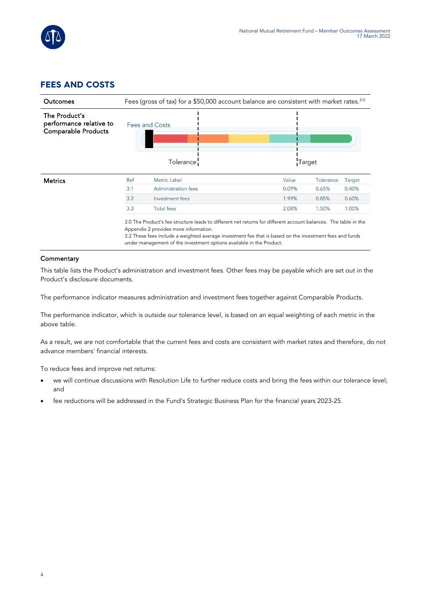

### **FEES AND COSTS**



#### **Commentary**

This table lists the Product's administration and investment fees. Other fees may be payable which are set out in the Product's disclosure documents.

The performance indicator measures administration and investment fees together against Comparable Products.

The performance indicator, which is outside our tolerance level, is based on an equal weighting of each metric in the above table.

As a result, we are not comfortable that the current fees and costs are consistent with market rates and therefore, do not advance members' financial interests.

To reduce fees and improve net returns:

- we will continue discussions with Resolution Life to further reduce costs and bring the fees within our tolerance level; and
- fee reductions will be addressed in the Fund's Strategic Business Plan for the financial years 2023-25.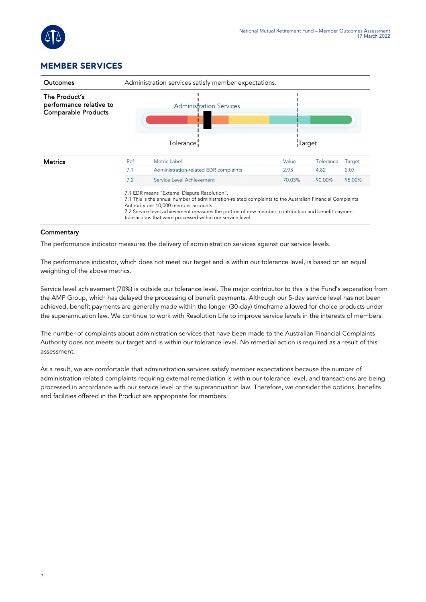

### **MEMBER SERVICES**

| <b>Outcomes</b>                                                 | Administration services satisfy member expectations.     |                                                                                                                                                                                                                                                                                                                                                                        |        |           |        |  |
|-----------------------------------------------------------------|----------------------------------------------------------|------------------------------------------------------------------------------------------------------------------------------------------------------------------------------------------------------------------------------------------------------------------------------------------------------------------------------------------------------------------------|--------|-----------|--------|--|
| The Product's<br>performance relative to<br>Comparable Products | <b>Administration Services</b><br>Tolerance <sup>1</sup> |                                                                                                                                                                                                                                                                                                                                                                        |        | Target    |        |  |
| <b>Metrics</b>                                                  | Ref                                                      | Metric Label                                                                                                                                                                                                                                                                                                                                                           | Value  | Tolerance | Target |  |
|                                                                 | 7.1                                                      | Administration-related EDR complaints                                                                                                                                                                                                                                                                                                                                  | 2.93   | 4.82      | 2.07   |  |
|                                                                 | 7.2                                                      | Service Level Achievement                                                                                                                                                                                                                                                                                                                                              | 70.03% | 90.00%    | 95.00% |  |
|                                                                 |                                                          | 7.1 EDR means "External Dispute Resolution".<br>7.1 This is the annual number of administration-related complaints to the Australian Financial Complaints<br>Authority per 10,000 member accounts.<br>7.2 Service level achievement measures the portion of new member, contribution and benefit payment<br>transactions that were processed within our service level. |        |           |        |  |

#### **Commentary**

The performance indicator measures the delivery of administration services against our service levels.

The performance indicator, which does not meet our target and is within our tolerance level, is based on an equal weighting of the above metrics.

Service level achievement (70%) is outside our tolerance level. The major contributor to this is the Fund's separation from the AMP Group, which has delayed the processing of benefit payments. Although our 5-day service level has not been achieved, benefit payments are generally made within the longer (30-day) timeframe allowed for choice products under the superannuation law. We continue to work with Resolution Life to improve service levels in the interests of members.

The number of complaints about administration services that have been made to the Australian Financial Complaints Authority does not meets our target and is within our tolerance level. No remedial action is required as a result of this assessment.

As a result, we are comfortable that administration services satisfy member expectations because the number of administration related complaints requiring external remediation is within our tolerance level, and transactions are being processed in accordance with our service level or the superannuation law. Therefore, we consider the options, benefits and facilities offered in the Product are appropriate for members.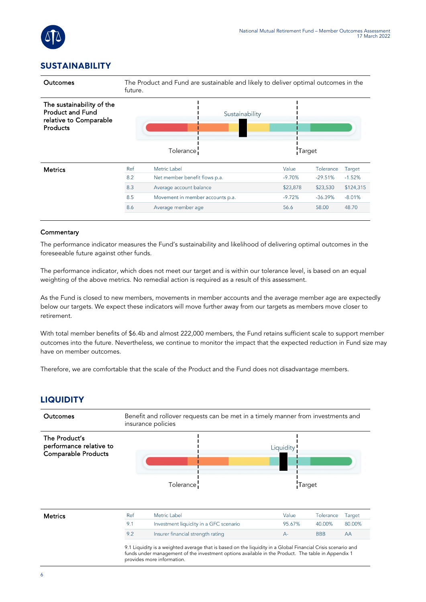

### **SUSTAINABILITY**



#### **Commentary**

The performance indicator measures the Fund's sustainability and likelihood of delivering optimal outcomes in the foreseeable future against other funds.

The performance indicator, which does not meet our target and is within our tolerance level, is based on an equal weighting of the above metrics. No remedial action is required as a result of this assessment.

As the Fund is closed to new members, movements in member accounts and the average member age are expectedly below our targets. We expect these indicators will move further away from our targets as members move closer to retirement.

With total member benefits of \$6.4b and almost 222,000 members, the Fund retains sufficient scale to support member outcomes into the future. Nevertheless, we continue to monitor the impact that the expected reduction in Fund size may have on member outcomes.

Therefore, we are comfortable that the scale of the Product and the Fund does not disadvantage members.

#### **LIQUIDITY**

| Liquidity<br>Tolerance | Target                                                                                                                                                                                                                                                                                                      |
|------------------------|-------------------------------------------------------------------------------------------------------------------------------------------------------------------------------------------------------------------------------------------------------------------------------------------------------------|
|                        |                                                                                                                                                                                                                                                                                                             |
| Value                  | Tolerance<br>Target                                                                                                                                                                                                                                                                                         |
|                        | 80.00%<br>40.00%                                                                                                                                                                                                                                                                                            |
| $A -$                  | <b>BBB</b><br>AA                                                                                                                                                                                                                                                                                            |
|                        | Investment liquidity in a GFC scenario<br>95.67%<br>Insurer financial strength rating<br>9.1 Liquidity is a weighted average that is based on the liquidity in a Global Financial Crisis scenario and<br>funds under management of the investment options available in the Product. The table in Appendix 1 |

provides more information.

6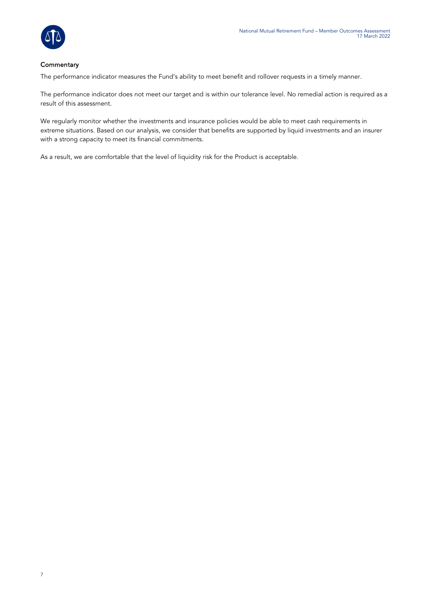

#### **Commentary**

The performance indicator measures the Fund's ability to meet benefit and rollover requests in a timely manner.

The performance indicator does not meet our target and is within our tolerance level. No remedial action is required as a result of this assessment.

We regularly monitor whether the investments and insurance policies would be able to meet cash requirements in extreme situations. Based on our analysis, we consider that benefits are supported by liquid investments and an insurer with a strong capacity to meet its financial commitments.

As a result, we are comfortable that the level of liquidity risk for the Product is acceptable.